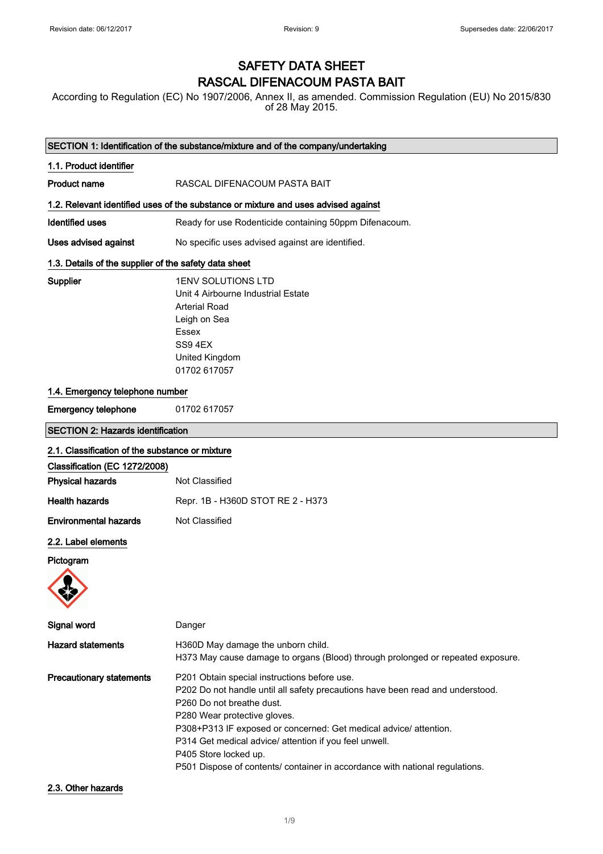# SAFETY DATA SHEET RASCAL DIFENACOUM PASTA BAIT

According to Regulation (EC) No 1907/2006, Annex II, as amended. Commission Regulation (EU) No 2015/830 of 28 May 2015.

|                                                       | SECTION 1: Identification of the substance/mixture and of the company/undertaking                                                                                                                                                                                                                                                                                                                                                   |
|-------------------------------------------------------|-------------------------------------------------------------------------------------------------------------------------------------------------------------------------------------------------------------------------------------------------------------------------------------------------------------------------------------------------------------------------------------------------------------------------------------|
| 1.1. Product identifier                               |                                                                                                                                                                                                                                                                                                                                                                                                                                     |
| <b>Product name</b>                                   | RASCAL DIFENACOUM PASTA BAIT                                                                                                                                                                                                                                                                                                                                                                                                        |
|                                                       | 1.2. Relevant identified uses of the substance or mixture and uses advised against                                                                                                                                                                                                                                                                                                                                                  |
| <b>Identified uses</b>                                | Ready for use Rodenticide containing 50ppm Difenacoum.                                                                                                                                                                                                                                                                                                                                                                              |
| Uses advised against                                  | No specific uses advised against are identified.                                                                                                                                                                                                                                                                                                                                                                                    |
| 1.3. Details of the supplier of the safety data sheet |                                                                                                                                                                                                                                                                                                                                                                                                                                     |
| Supplier                                              | 1ENV SOLUTIONS LTD<br>Unit 4 Airbourne Industrial Estate<br><b>Arterial Road</b><br>Leigh on Sea<br>Essex<br>SS9 4EX<br>United Kingdom<br>01702 617057                                                                                                                                                                                                                                                                              |
| 1.4. Emergency telephone number                       |                                                                                                                                                                                                                                                                                                                                                                                                                                     |
| <b>Emergency telephone</b>                            | 01702 617057                                                                                                                                                                                                                                                                                                                                                                                                                        |
| <b>SECTION 2: Hazards identification</b>              |                                                                                                                                                                                                                                                                                                                                                                                                                                     |
| 2.1. Classification of the substance or mixture       |                                                                                                                                                                                                                                                                                                                                                                                                                                     |
| Classification (EC 1272/2008)                         |                                                                                                                                                                                                                                                                                                                                                                                                                                     |
| <b>Physical hazards</b>                               | Not Classified                                                                                                                                                                                                                                                                                                                                                                                                                      |
| <b>Health hazards</b>                                 | Repr. 1B - H360D STOT RE 2 - H373                                                                                                                                                                                                                                                                                                                                                                                                   |
| <b>Environmental hazards</b>                          | Not Classified                                                                                                                                                                                                                                                                                                                                                                                                                      |
| 2.2. Label elements                                   |                                                                                                                                                                                                                                                                                                                                                                                                                                     |
| Pictogram                                             |                                                                                                                                                                                                                                                                                                                                                                                                                                     |
| Signal word                                           | Danger                                                                                                                                                                                                                                                                                                                                                                                                                              |
| <b>Hazard statements</b>                              | H360D May damage the unborn child.<br>H373 May cause damage to organs (Blood) through prolonged or repeated exposure.                                                                                                                                                                                                                                                                                                               |
| <b>Precautionary statements</b>                       | P201 Obtain special instructions before use.<br>P202 Do not handle until all safety precautions have been read and understood.<br>P260 Do not breathe dust.<br>P280 Wear protective gloves.<br>P308+P313 IF exposed or concerned: Get medical advice/ attention.<br>P314 Get medical advice/ attention if you feel unwell.<br>P405 Store locked up.<br>P501 Dispose of contents/ container in accordance with national regulations. |
| 2.3. Other hazards                                    |                                                                                                                                                                                                                                                                                                                                                                                                                                     |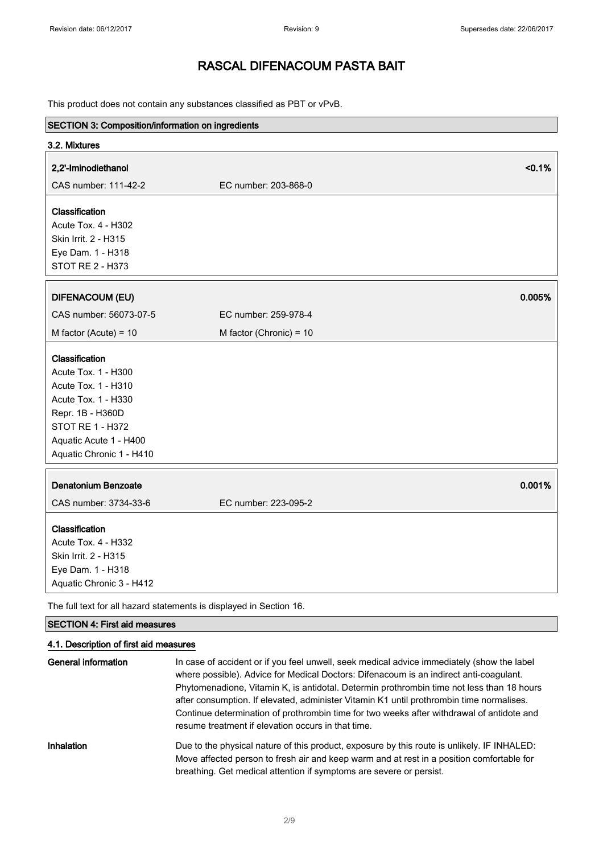This product does not contain any substances classified as PBT or vPvB.

| SECTION 3: Composition/information on ingredients                   |                         |        |
|---------------------------------------------------------------------|-------------------------|--------|
| 3.2. Mixtures                                                       |                         |        |
| 2,2'-Iminodiethanol                                                 |                         | < 0.1% |
| CAS number: 111-42-2                                                | EC number: 203-868-0    |        |
| Classification                                                      |                         |        |
| Acute Tox. 4 - H302                                                 |                         |        |
| Skin Irrit. 2 - H315                                                |                         |        |
| Eye Dam. 1 - H318                                                   |                         |        |
| STOT RE 2 - H373                                                    |                         |        |
| <b>DIFENACOUM (EU)</b>                                              |                         | 0.005% |
|                                                                     |                         |        |
| CAS number: 56073-07-5                                              | EC number: 259-978-4    |        |
| M factor (Acute) = $10$                                             | M factor (Chronic) = 10 |        |
| Classification                                                      |                         |        |
| Acute Tox. 1 - H300                                                 |                         |        |
| Acute Tox. 1 - H310                                                 |                         |        |
| Acute Tox. 1 - H330                                                 |                         |        |
| Repr. 1B - H360D                                                    |                         |        |
| STOT RE 1 - H372                                                    |                         |        |
| Aquatic Acute 1 - H400                                              |                         |        |
| Aquatic Chronic 1 - H410                                            |                         |        |
| Denatonium Benzoate                                                 |                         | 0.001% |
| CAS number: 3734-33-6                                               | EC number: 223-095-2    |        |
| Classification                                                      |                         |        |
| <b>Acute Tox. 4 - H332</b>                                          |                         |        |
| Skin Irrit. 2 - H315                                                |                         |        |
| Eye Dam. 1 - H318                                                   |                         |        |
| Aquatic Chronic 3 - H412                                            |                         |        |
| The full text for all hazard statements is displayed in Section 16. |                         |        |

### SECTION 4: First aid measures

### 4.1. Description of first aid measures

| General information | In case of accident or if you feel unwell, seek medical advice immediately (show the label<br>where possible). Advice for Medical Doctors: Difenacoum is an indirect anti-coagulant.<br>Phytomenadione, Vitamin K, is antidotal. Determin prothrombin time not less than 18 hours<br>after consumption. If elevated, administer Vitamin K1 until prothrombin time normalises.<br>Continue determination of prothrombin time for two weeks after withdrawal of antidote and<br>resume treatment if elevation occurs in that time. |
|---------------------|----------------------------------------------------------------------------------------------------------------------------------------------------------------------------------------------------------------------------------------------------------------------------------------------------------------------------------------------------------------------------------------------------------------------------------------------------------------------------------------------------------------------------------|
| Inhalation          | Due to the physical nature of this product, exposure by this route is unlikely. IF INHALED:<br>Move affected person to fresh air and keep warm and at rest in a position comfortable for<br>breathing. Get medical attention if symptoms are severe or persist.                                                                                                                                                                                                                                                                  |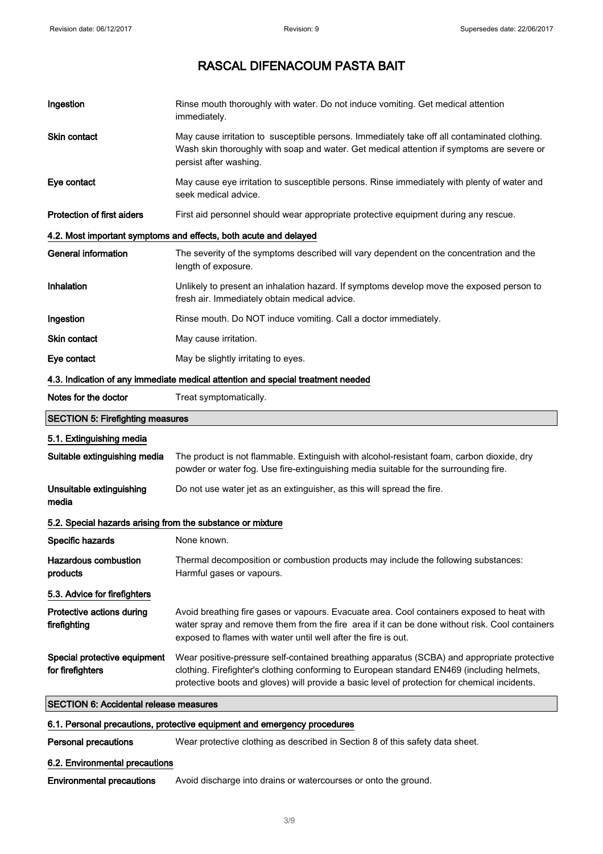| 6.1. Personal precautions, protective equipment and emergency procedures |                                                                                                                                                                                                                                                                                            |
|--------------------------------------------------------------------------|--------------------------------------------------------------------------------------------------------------------------------------------------------------------------------------------------------------------------------------------------------------------------------------------|
| <b>SECTION 6: Accidental release measures</b>                            |                                                                                                                                                                                                                                                                                            |
| Special protective equipment<br>for firefighters                         | Wear positive-pressure self-contained breathing apparatus (SCBA) and appropriate protective<br>clothing. Firefighter's clothing conforming to European standard EN469 (including helmets,<br>protective boots and gloves) will provide a basic level of protection for chemical incidents. |
| Protective actions during<br>firefighting                                | Avoid breathing fire gases or vapours. Evacuate area. Cool containers exposed to heat with<br>water spray and remove them from the fire area if it can be done without risk. Cool containers<br>exposed to flames with water until well after the fire is out.                             |
| 5.3. Advice for firefighters                                             |                                                                                                                                                                                                                                                                                            |
| <b>Hazardous combustion</b><br>products                                  | Thermal decomposition or combustion products may include the following substances:<br>Harmful gases or vapours.                                                                                                                                                                            |
| Specific hazards                                                         | None known.                                                                                                                                                                                                                                                                                |
| 5.2. Special hazards arising from the substance or mixture               |                                                                                                                                                                                                                                                                                            |
| Unsuitable extinguishing<br>media                                        | Do not use water jet as an extinguisher, as this will spread the fire.                                                                                                                                                                                                                     |
| 5.1. Extinguishing media<br>Suitable extinguishing media                 | The product is not flammable. Extinguish with alcohol-resistant foam, carbon dioxide, dry<br>powder or water fog. Use fire-extinguishing media suitable for the surrounding fire.                                                                                                          |
| <b>SECTION 5: Firefighting measures</b>                                  |                                                                                                                                                                                                                                                                                            |
| Notes for the doctor                                                     | Treat symptomatically.                                                                                                                                                                                                                                                                     |
|                                                                          | 4.3. Indication of any immediate medical attention and special treatment needed                                                                                                                                                                                                            |
| Eye contact                                                              | May be slightly irritating to eyes.                                                                                                                                                                                                                                                        |
| Skin contact                                                             | May cause irritation.                                                                                                                                                                                                                                                                      |
| Ingestion                                                                | Rinse mouth. Do NOT induce vomiting. Call a doctor immediately.                                                                                                                                                                                                                            |
| Inhalation                                                               | Unlikely to present an inhalation hazard. If symptoms develop move the exposed person to<br>fresh air. Immediately obtain medical advice.                                                                                                                                                  |
| <b>General information</b>                                               | The severity of the symptoms described will vary dependent on the concentration and the<br>length of exposure.                                                                                                                                                                             |
|                                                                          | 4.2. Most important symptoms and effects, both acute and delayed                                                                                                                                                                                                                           |
| <b>Protection of first aiders</b>                                        | First aid personnel should wear appropriate protective equipment during any rescue.                                                                                                                                                                                                        |
| Eye contact                                                              | May cause eye irritation to susceptible persons. Rinse immediately with plenty of water and<br>seek medical advice.                                                                                                                                                                        |
| Skin contact                                                             | May cause irritation to susceptible persons. Immediately take off all contaminated clothing.<br>Wash skin thoroughly with soap and water. Get medical attention if symptoms are severe or<br>persist after washing.                                                                        |
| Ingestion                                                                | Rinse mouth thoroughly with water. Do not induce vomiting. Get medical attention<br>immediately.                                                                                                                                                                                           |

Personal precautions Wear protective clothing as described in Section 8 of this safety data sheet.

### 6.2. Environmental precautions

Environmental precautions Avoid discharge into drains or watercourses or onto the ground.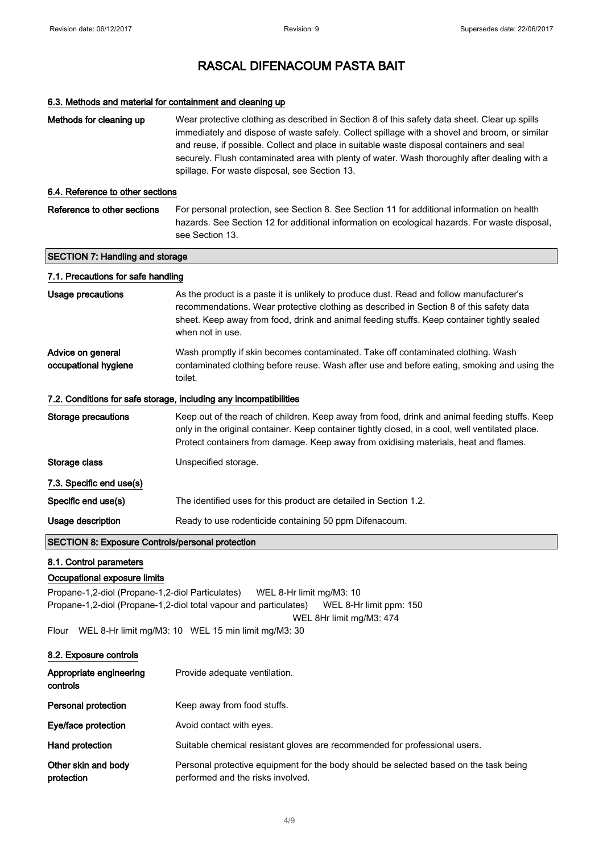# RASCAL DIFENACOUM PASTA BAIT

#### 6.3. Methods and material for containment and cleaning up

| Methods for cleaning up                                                                                                                                                                                                                 | Wear protective clothing as described in Section 8 of this safety data sheet. Clear up spills<br>immediately and dispose of waste safely. Collect spillage with a shovel and broom, or similar<br>and reuse, if possible. Collect and place in suitable waste disposal containers and seal<br>securely. Flush contaminated area with plenty of water. Wash thoroughly after dealing with a<br>spillage. For waste disposal, see Section 13. |  |
|-----------------------------------------------------------------------------------------------------------------------------------------------------------------------------------------------------------------------------------------|---------------------------------------------------------------------------------------------------------------------------------------------------------------------------------------------------------------------------------------------------------------------------------------------------------------------------------------------------------------------------------------------------------------------------------------------|--|
| 6.4. Reference to other sections                                                                                                                                                                                                        |                                                                                                                                                                                                                                                                                                                                                                                                                                             |  |
| Reference to other sections                                                                                                                                                                                                             | For personal protection, see Section 8. See Section 11 for additional information on health<br>hazards. See Section 12 for additional information on ecological hazards. For waste disposal,<br>see Section 13.                                                                                                                                                                                                                             |  |
| <b>SECTION 7: Handling and storage</b>                                                                                                                                                                                                  |                                                                                                                                                                                                                                                                                                                                                                                                                                             |  |
| 7.1. Precautions for safe handling                                                                                                                                                                                                      |                                                                                                                                                                                                                                                                                                                                                                                                                                             |  |
| <b>Usage precautions</b>                                                                                                                                                                                                                | As the product is a paste it is unlikely to produce dust. Read and follow manufacturer's<br>recommendations. Wear protective clothing as described in Section 8 of this safety data<br>sheet. Keep away from food, drink and animal feeding stuffs. Keep container tightly sealed<br>when not in use.                                                                                                                                       |  |
| Advice on general<br>occupational hygiene                                                                                                                                                                                               | Wash promptly if skin becomes contaminated. Take off contaminated clothing. Wash<br>contaminated clothing before reuse. Wash after use and before eating, smoking and using the<br>toilet.                                                                                                                                                                                                                                                  |  |
| 7.2. Conditions for safe storage, including any incompatibilities                                                                                                                                                                       |                                                                                                                                                                                                                                                                                                                                                                                                                                             |  |
| <b>Storage precautions</b>                                                                                                                                                                                                              | Keep out of the reach of children. Keep away from food, drink and animal feeding stuffs. Keep<br>only in the original container. Keep container tightly closed, in a cool, well ventilated place.<br>Protect containers from damage. Keep away from oxidising materials, heat and flames.                                                                                                                                                   |  |
| Storage class                                                                                                                                                                                                                           | Unspecified storage.                                                                                                                                                                                                                                                                                                                                                                                                                        |  |
| 7.3. Specific end use(s)                                                                                                                                                                                                                |                                                                                                                                                                                                                                                                                                                                                                                                                                             |  |
| Specific end use(s)                                                                                                                                                                                                                     | The identified uses for this product are detailed in Section 1.2.                                                                                                                                                                                                                                                                                                                                                                           |  |
| Usage description                                                                                                                                                                                                                       | Ready to use rodenticide containing 50 ppm Difenacoum.                                                                                                                                                                                                                                                                                                                                                                                      |  |
| <b>SECTION 8: Exposure Controls/personal protection</b>                                                                                                                                                                                 |                                                                                                                                                                                                                                                                                                                                                                                                                                             |  |
| 8.1. Control parameters<br>Occupational exposure limits<br>Propane-1,2-diol (Propane-1,2-diol Particulates)<br>WEL 8-Hr limit mg/M3: 10<br>Propane-1,2-diol (Propane-1,2-diol total vapour and particulates)<br>WEL 8-Hr limit ppm: 150 |                                                                                                                                                                                                                                                                                                                                                                                                                                             |  |
| WEL 8Hr limit mg/M3: 474<br>WEL 8-Hr limit mg/M3: 10 WEL 15 min limit mg/M3: 30<br>Flour                                                                                                                                                |                                                                                                                                                                                                                                                                                                                                                                                                                                             |  |
| 8.2. Exposure controls                                                                                                                                                                                                                  |                                                                                                                                                                                                                                                                                                                                                                                                                                             |  |
| Appropriate engineering<br>controls                                                                                                                                                                                                     | Provide adequate ventilation.                                                                                                                                                                                                                                                                                                                                                                                                               |  |
| Personal protection                                                                                                                                                                                                                     | Keep away from food stuffs.                                                                                                                                                                                                                                                                                                                                                                                                                 |  |
| Eye/face protection                                                                                                                                                                                                                     | Avoid contact with eyes.                                                                                                                                                                                                                                                                                                                                                                                                                    |  |
| Hand protection                                                                                                                                                                                                                         | Suitable chemical resistant gloves are recommended for professional users.                                                                                                                                                                                                                                                                                                                                                                  |  |

Other skin and body protection Personal protective equipment for the body should be selected based on the task being performed and the risks involved.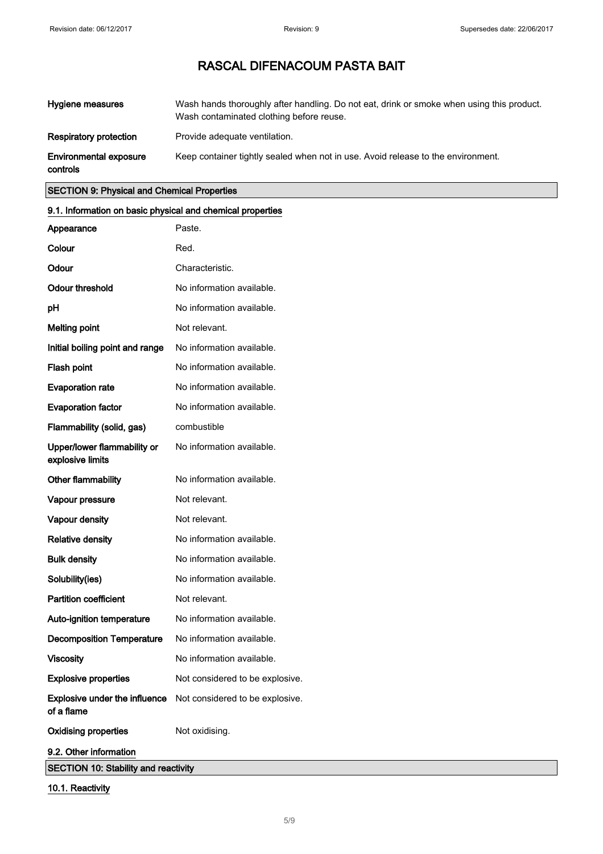| Hygiene measures                          | Wash hands thoroughly after handling. Do not eat, drink or smoke when using this product.<br>Wash contaminated clothing before reuse. |
|-------------------------------------------|---------------------------------------------------------------------------------------------------------------------------------------|
| <b>Respiratory protection</b>             | Provide adequate ventilation.                                                                                                         |
| <b>Environmental exposure</b><br>controls | Keep container tightly sealed when not in use. Avoid release to the environment.                                                      |

## SECTION 9: Physical and Chemical Properties

| 9.1. Information on basic physical and chemical properties |                                 |  |
|------------------------------------------------------------|---------------------------------|--|
| Appearance                                                 | Paste.                          |  |
| Colour                                                     | Red.                            |  |
| Odour                                                      | Characteristic.                 |  |
| <b>Odour threshold</b>                                     | No information available.       |  |
| рH                                                         | No information available.       |  |
| <b>Melting point</b>                                       | Not relevant.                   |  |
| Initial boiling point and range                            | No information available.       |  |
| Flash point                                                | No information available.       |  |
| <b>Evaporation rate</b>                                    | No information available.       |  |
| <b>Evaporation factor</b>                                  | No information available.       |  |
| Flammability (solid, gas)                                  | combustible                     |  |
| Upper/lower flammability or<br>explosive limits            | No information available.       |  |
| Other flammability                                         | No information available.       |  |
| Vapour pressure                                            | Not relevant.                   |  |
| Vapour density                                             | Not relevant.                   |  |
| <b>Relative density</b>                                    | No information available.       |  |
| <b>Bulk density</b>                                        | No information available.       |  |
| Solubility(ies)                                            | No information available.       |  |
| <b>Partition coefficient</b>                               | Not relevant.                   |  |
| Auto-ignition temperature                                  | No information available.       |  |
| <b>Decomposition Temperature</b>                           | No information available.       |  |
| <b>Viscosity</b>                                           | No information available.       |  |
| <b>Explosive properties</b>                                | Not considered to be explosive. |  |
| Explosive under the influence<br>of a flame                | Not considered to be explosive. |  |
| <b>Oxidising properties</b>                                | Not oxidising.                  |  |
| 9.2. Other information                                     |                                 |  |
| <b>SECTION 10: Stability and reactivity</b>                |                                 |  |

## 10.1. Reactivity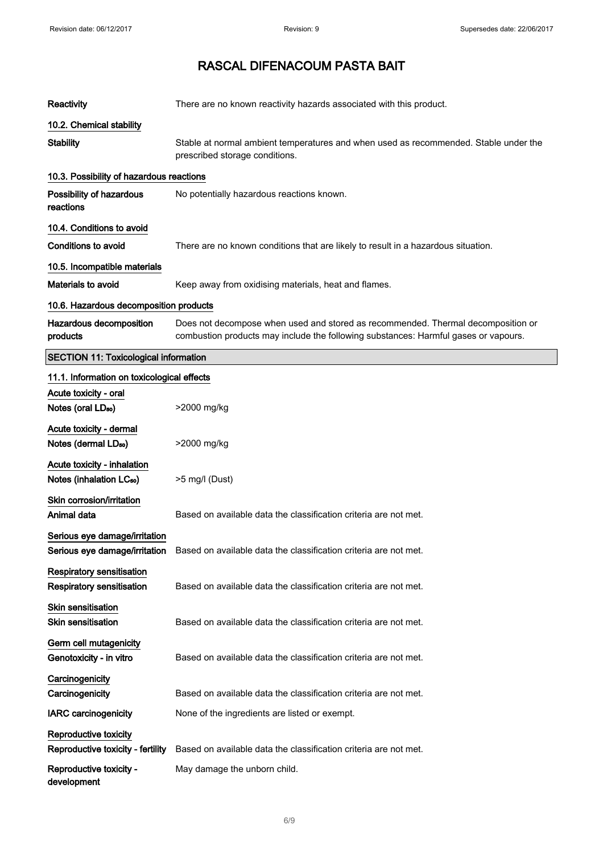| Reactivity                                                           | There are no known reactivity hazards associated with this product.                                                                                                     |
|----------------------------------------------------------------------|-------------------------------------------------------------------------------------------------------------------------------------------------------------------------|
| 10.2. Chemical stability                                             |                                                                                                                                                                         |
| <b>Stability</b>                                                     | Stable at normal ambient temperatures and when used as recommended. Stable under the<br>prescribed storage conditions.                                                  |
| 10.3. Possibility of hazardous reactions                             |                                                                                                                                                                         |
| Possibility of hazardous<br>reactions                                | No potentially hazardous reactions known.                                                                                                                               |
| 10.4. Conditions to avoid                                            |                                                                                                                                                                         |
| Conditions to avoid                                                  | There are no known conditions that are likely to result in a hazardous situation.                                                                                       |
| 10.5. Incompatible materials                                         |                                                                                                                                                                         |
| Materials to avoid                                                   | Keep away from oxidising materials, heat and flames.                                                                                                                    |
| 10.6. Hazardous decomposition products                               |                                                                                                                                                                         |
| Hazardous decomposition<br>products                                  | Does not decompose when used and stored as recommended. Thermal decomposition or<br>combustion products may include the following substances: Harmful gases or vapours. |
| <b>SECTION 11: Toxicological information</b>                         |                                                                                                                                                                         |
| 11.1. Information on toxicological effects                           |                                                                                                                                                                         |
| Acute toxicity - oral<br>Notes (oral LD <sub>50</sub> )              | >2000 mg/kg                                                                                                                                                             |
| Acute toxicity - dermal<br>Notes (dermal LD <sub>50</sub> )          | >2000 mg/kg                                                                                                                                                             |
| Acute toxicity - inhalation<br>Notes (inhalation LC <sub>50</sub> )  | >5 mg/l (Dust)                                                                                                                                                          |
| Skin corrosion/irritation<br>Animal data                             | Based on available data the classification criteria are not met.                                                                                                        |
| Serious eye damage/irritation                                        | Serious eye damage/irritation Based on available data the classification criteria are not met.                                                                          |
| <b>Respiratory sensitisation</b><br><b>Respiratory sensitisation</b> | Based on available data the classification criteria are not met.                                                                                                        |
| <b>Skin sensitisation</b><br><b>Skin sensitisation</b>               | Based on available data the classification criteria are not met.                                                                                                        |
| Germ cell mutagenicity<br>Genotoxicity - in vitro                    | Based on available data the classification criteria are not met.                                                                                                        |
| Carcinogenicity<br>Carcinogenicity                                   | Based on available data the classification criteria are not met.                                                                                                        |
| <b>IARC carcinogenicity</b>                                          | None of the ingredients are listed or exempt.                                                                                                                           |
| Reproductive toxicity<br>Reproductive toxicity - fertility           | Based on available data the classification criteria are not met.                                                                                                        |
| Reproductive toxicity -<br>development                               | May damage the unborn child.                                                                                                                                            |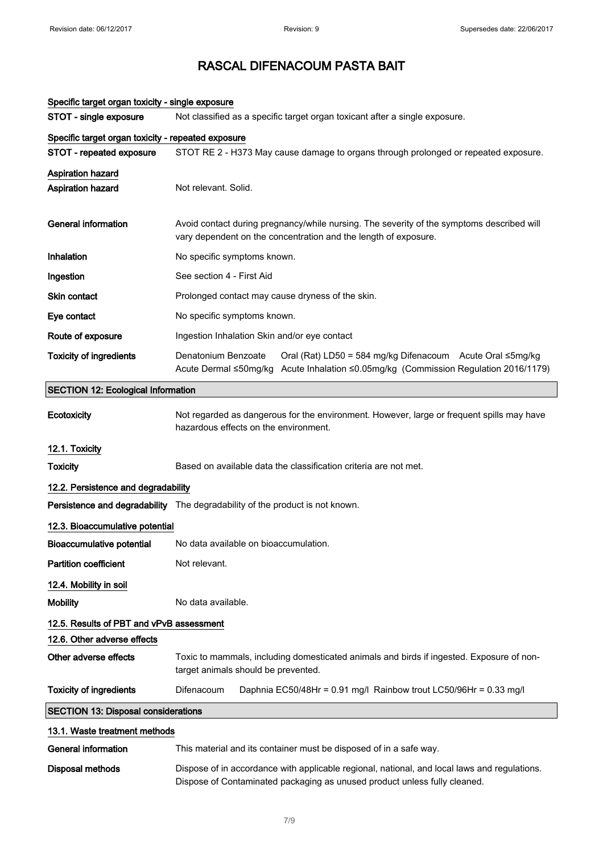| Specinc target organ toxicity - single exposure    |                                                                                                                                                                         |
|----------------------------------------------------|-------------------------------------------------------------------------------------------------------------------------------------------------------------------------|
| STOT - single exposure                             | Not classified as a specific target organ toxicant after a single exposure.                                                                                             |
| Specific target organ toxicity - repeated exposure |                                                                                                                                                                         |
| STOT - repeated exposure                           | STOT RE 2 - H373 May cause damage to organs through prolonged or repeated exposure.                                                                                     |
| <b>Aspiration hazard</b>                           |                                                                                                                                                                         |
| Aspiration hazard                                  | Not relevant. Solid.                                                                                                                                                    |
| <b>General information</b>                         | Avoid contact during pregnancy/while nursing. The severity of the symptoms described will<br>vary dependent on the concentration and the length of exposure.            |
| Inhalation                                         | No specific symptoms known.                                                                                                                                             |
| Ingestion                                          | See section 4 - First Aid                                                                                                                                               |
| <b>Skin contact</b>                                | Prolonged contact may cause dryness of the skin.                                                                                                                        |
| Eye contact                                        | No specific symptoms known.                                                                                                                                             |
| Route of exposure                                  | Ingestion Inhalation Skin and/or eye contact                                                                                                                            |
| <b>Toxicity of ingredients</b>                     | Denatonium Benzoate<br>Oral (Rat) LD50 = 584 mg/kg Difenacoum Acute Oral ≤5mg/kg<br>Acute Dermal ≤50mg/kg Acute Inhalation ≤0.05mg/kg (Commission Regulation 2016/1179) |
| <b>SECTION 12: Ecological Information</b>          |                                                                                                                                                                         |
| Ecotoxicity                                        | Not regarded as dangerous for the environment. However, large or frequent spills may have<br>hazardous effects on the environment.                                      |
| 12.1. Toxicity                                     |                                                                                                                                                                         |
| <b>Toxicity</b>                                    | Based on available data the classification criteria are not met.                                                                                                        |
| 12.2. Persistence and degradability                |                                                                                                                                                                         |
|                                                    | Persistence and degradability The degradability of the product is not known.                                                                                            |
| 12.3. Bioaccumulative potential                    |                                                                                                                                                                         |
| <b>Bioaccumulative potential</b>                   | No data available on bioaccumulation.                                                                                                                                   |
| <b>Partition coefficient</b>                       | Not relevant.                                                                                                                                                           |
| 12.4. Mobility in soil                             |                                                                                                                                                                         |
| <b>Mobility</b>                                    | No data available.                                                                                                                                                      |
| 12.5. Results of PBT and vPvB assessment           |                                                                                                                                                                         |
| 12.6. Other adverse effects                        |                                                                                                                                                                         |
| Other adverse effects                              | Toxic to mammals, including domesticated animals and birds if ingested. Exposure of non-<br>target animals should be prevented.                                         |
| <b>Toxicity of ingredients</b>                     | Difenacoum<br>Daphnia EC50/48Hr = 0.91 mg/l Rainbow trout LC50/96Hr = 0.33 mg/l                                                                                         |
| <b>SECTION 13: Disposal considerations</b>         |                                                                                                                                                                         |
| 13.1. Waste treatment methods                      |                                                                                                                                                                         |
| <b>General information</b>                         | This material and its container must be disposed of in a safe way.                                                                                                      |
| <b>Disposal methods</b>                            | Dispose of in accordance with applicable regional, national, and local laws and regulations.                                                                            |

## Specific target organ toxicity - single exposure

Dispose of Contaminated packaging as unused product unless fully cleaned.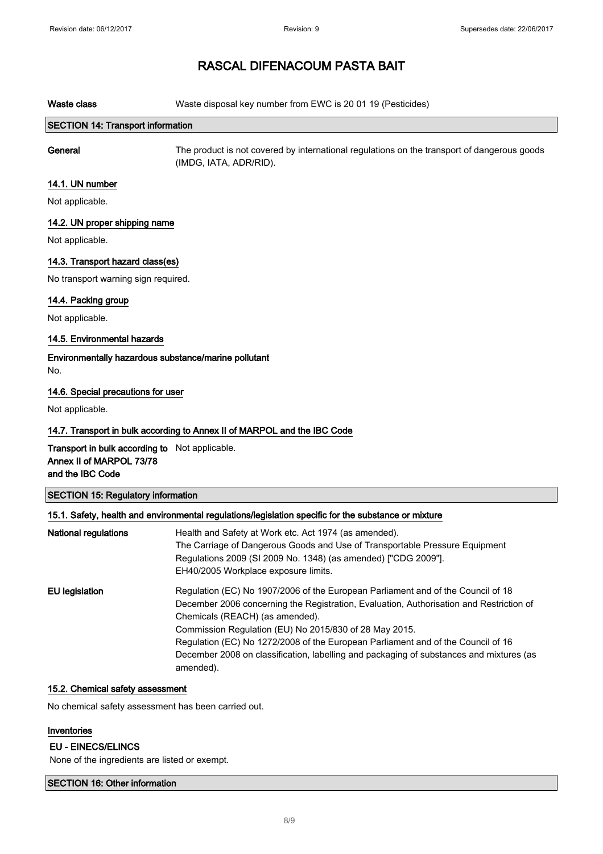Waste class Waste disposal key number from EWC is 20 01 19 (Pesticides)

#### SECTION 14: Transport information

General The product is not covered by international regulations on the transport of dangerous goods (IMDG, IATA, ADR/RID).

### 14.1. UN number

Not applicable.

#### 14.2. UN proper shipping name

Not applicable.

#### 14.3. Transport hazard class(es)

No transport warning sign required.

#### 14.4. Packing group

Not applicable.

#### 14.5. Environmental hazards

Environmentally hazardous substance/marine pollutant No.

#### 14.6. Special precautions for user

Not applicable.

#### 14.7. Transport in bulk according to Annex II of MARPOL and the IBC Code

Transport in bulk according to Not applicable. Annex II of MARPOL 73/78 and the IBC Code

### SECTION 15: Regulatory information

#### 15.1. Safety, health and environmental regulations/legislation specific for the substance or mixture

| National regulations | Health and Safety at Work etc. Act 1974 (as amended).<br>The Carriage of Dangerous Goods and Use of Transportable Pressure Equipment<br>Regulations 2009 (SI 2009 No. 1348) (as amended) ["CDG 2009"].<br>EH40/2005 Workplace exposure limits.     |
|----------------------|----------------------------------------------------------------------------------------------------------------------------------------------------------------------------------------------------------------------------------------------------|
| EU legislation       | Regulation (EC) No 1907/2006 of the European Parliament and of the Council of 18<br>December 2006 concerning the Registration, Evaluation, Authorisation and Restriction of<br>Chemicals (REACH) (as amended).                                     |
|                      | Commission Regulation (EU) No 2015/830 of 28 May 2015.<br>Regulation (EC) No 1272/2008 of the European Parliament and of the Council of 16<br>December 2008 on classification, labelling and packaging of substances and mixtures (as<br>amended). |

#### 15.2. Chemical safety assessment

No chemical safety assessment has been carried out.

#### Inventories

#### EU - EINECS/ELINCS

None of the ingredients are listed or exempt.

SECTION 16: Other information